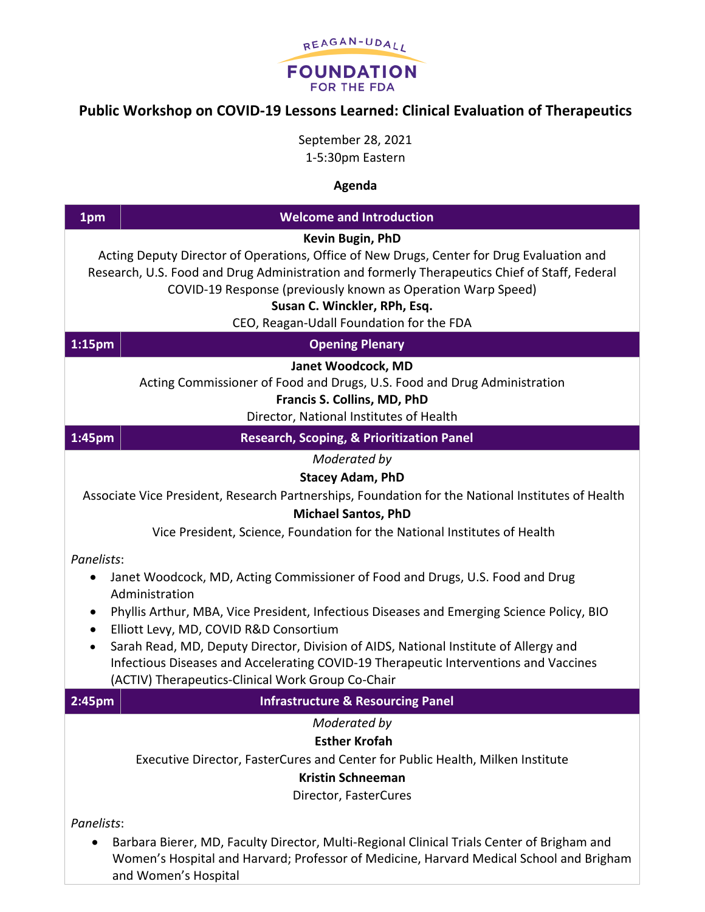

## **Public Workshop on COVID-19 Lessons Learned: Clinical Evaluation of Therapeutics**

September 28, 2021 1-5:30pm Eastern

## **Agenda**

| 1pm                                                                                                                                                                                                                                                                                                                                                                                                                                                                                                                                                                                                                                                                                                                                                 | <b>Welcome and Introduction</b>                                                                                                                                                                               |  |
|-----------------------------------------------------------------------------------------------------------------------------------------------------------------------------------------------------------------------------------------------------------------------------------------------------------------------------------------------------------------------------------------------------------------------------------------------------------------------------------------------------------------------------------------------------------------------------------------------------------------------------------------------------------------------------------------------------------------------------------------------------|---------------------------------------------------------------------------------------------------------------------------------------------------------------------------------------------------------------|--|
| Kevin Bugin, PhD<br>Acting Deputy Director of Operations, Office of New Drugs, Center for Drug Evaluation and<br>Research, U.S. Food and Drug Administration and formerly Therapeutics Chief of Staff, Federal<br>COVID-19 Response (previously known as Operation Warp Speed)<br>Susan C. Winckler, RPh, Esq.<br>CEO, Reagan-Udall Foundation for the FDA                                                                                                                                                                                                                                                                                                                                                                                          |                                                                                                                                                                                                               |  |
| 1:15 <sub>pm</sub>                                                                                                                                                                                                                                                                                                                                                                                                                                                                                                                                                                                                                                                                                                                                  | <b>Opening Plenary</b>                                                                                                                                                                                        |  |
|                                                                                                                                                                                                                                                                                                                                                                                                                                                                                                                                                                                                                                                                                                                                                     | Janet Woodcock, MD<br>Acting Commissioner of Food and Drugs, U.S. Food and Drug Administration<br>Francis S. Collins, MD, PhD<br>Director, National Institutes of Health                                      |  |
| 1:45pm                                                                                                                                                                                                                                                                                                                                                                                                                                                                                                                                                                                                                                                                                                                                              | <b>Research, Scoping, &amp; Prioritization Panel</b>                                                                                                                                                          |  |
| Moderated by<br><b>Stacey Adam, PhD</b><br>Associate Vice President, Research Partnerships, Foundation for the National Institutes of Health<br><b>Michael Santos, PhD</b><br>Vice President, Science, Foundation for the National Institutes of Health<br>Panelists:<br>Janet Woodcock, MD, Acting Commissioner of Food and Drugs, U.S. Food and Drug<br>$\bullet$<br>Administration<br>Phyllis Arthur, MBA, Vice President, Infectious Diseases and Emerging Science Policy, BIO<br>$\bullet$<br>Elliott Levy, MD, COVID R&D Consortium<br>$\bullet$<br>Sarah Read, MD, Deputy Director, Division of AIDS, National Institute of Allergy and<br>$\bullet$<br>Infectious Diseases and Accelerating COVID-19 Therapeutic Interventions and Vaccines |                                                                                                                                                                                                               |  |
|                                                                                                                                                                                                                                                                                                                                                                                                                                                                                                                                                                                                                                                                                                                                                     | (ACTIV) Therapeutics-Clinical Work Group Co-Chair                                                                                                                                                             |  |
| 2:45pm                                                                                                                                                                                                                                                                                                                                                                                                                                                                                                                                                                                                                                                                                                                                              | <b>Infrastructure &amp; Resourcing Panel</b>                                                                                                                                                                  |  |
|                                                                                                                                                                                                                                                                                                                                                                                                                                                                                                                                                                                                                                                                                                                                                     | Moderated by<br><b>Esther Krofah</b><br>Executive Director, FasterCures and Center for Public Health, Milken Institute<br><b>Kristin Schneeman</b><br>Director, FasterCures                                   |  |
| Panelists:                                                                                                                                                                                                                                                                                                                                                                                                                                                                                                                                                                                                                                                                                                                                          | Barbara Bierer, MD, Faculty Director, Multi-Regional Clinical Trials Center of Brigham and<br>Women's Hospital and Harvard; Professor of Medicine, Harvard Medical School and Brigham<br>and Women's Hospital |  |